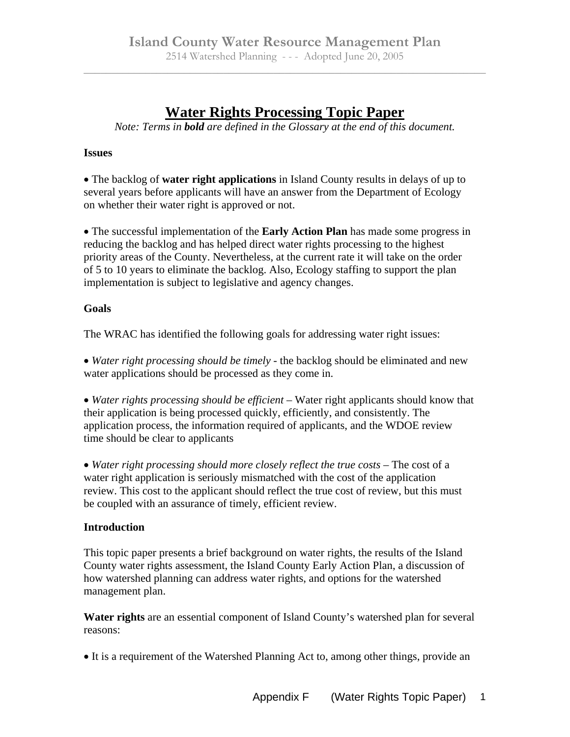## **Water Rights Processing Topic Paper**

*Note: Terms in bold are defined in the Glossary at the end of this document.* 

## **Issues**

The backlog of **water right applications** in Island County results in delays of up to several years before applicants will have an answer from the Department of Ecology on whether their water right is approved or not.

The successful implementation of the **Early Action Plan** has made some progress in reducing the backlog and has helped direct water rights processing to the highest priority areas of the County. Nevertheless, at the current rate it will take on the order of 5 to 10 years to eliminate the backlog. Also, Ecology staffing to support the plan implementation is subject to legislative and agency changes.

## **Goals**

The WRAC has identified the following goals for addressing water right issues:

*Water right processing should be timely* - the backlog should be eliminated and new water applications should be processed as they come in.

• Water rights processing should be efficient – Water right applicants should know that their application is being processed quickly, efficiently, and consistently. The application process, the information required of applicants, and the WDOE review time should be clear to applicants

• Water right processing should more closely reflect the true costs – The cost of a water right application is seriously mismatched with the cost of the application review. This cost to the applicant should reflect the true cost of review, but this must be coupled with an assurance of timely, efficient review.

## **Introduction**

This topic paper presents a brief background on water rights, the results of the Island County water rights assessment, the Island County Early Action Plan, a discussion of how watershed planning can address water rights, and options for the watershed management plan.

**Water rights** are an essential component of Island County's watershed plan for several reasons:

It is a requirement of the Watershed Planning Act to, among other things, provide an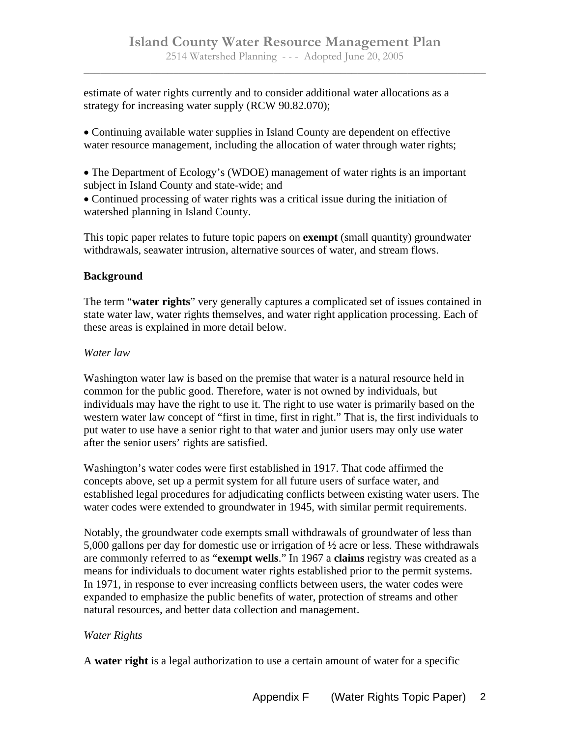estimate of water rights currently and to consider additional water allocations as a strategy for increasing water supply (RCW 90.82.070);

Continuing available water supplies in Island County are dependent on effective water resource management, including the allocation of water through water rights;

The Department of Ecology's (WDOE) management of water rights is an important subject in Island County and state-wide; and

Continued processing of water rights was a critical issue during the initiation of watershed planning in Island County.

This topic paper relates to future topic papers on **exempt** (small quantity) groundwater withdrawals, seawater intrusion, alternative sources of water, and stream flows.

## **Background**

The term "**water rights**" very generally captures a complicated set of issues contained in state water law, water rights themselves, and water right application processing. Each of these areas is explained in more detail below.

## *Water law*

Washington water law is based on the premise that water is a natural resource held in common for the public good. Therefore, water is not owned by individuals, but individuals may have the right to use it. The right to use water is primarily based on the western water law concept of "first in time, first in right." That is, the first individuals to put water to use have a senior right to that water and junior users may only use water after the senior users' rights are satisfied.

Washington's water codes were first established in 1917. That code affirmed the concepts above, set up a permit system for all future users of surface water, and established legal procedures for adjudicating conflicts between existing water users. The water codes were extended to groundwater in 1945, with similar permit requirements.

Notably, the groundwater code exempts small withdrawals of groundwater of less than 5,000 gallons per day for domestic use or irrigation of ½ acre or less. These withdrawals are commonly referred to as "**exempt wells**." In 1967 a **claims** registry was created as a means for individuals to document water rights established prior to the permit systems. In 1971, in response to ever increasing conflicts between users, the water codes were expanded to emphasize the public benefits of water, protection of streams and other natural resources, and better data collection and management.

## *Water Rights*

A **water right** is a legal authorization to use a certain amount of water for a specific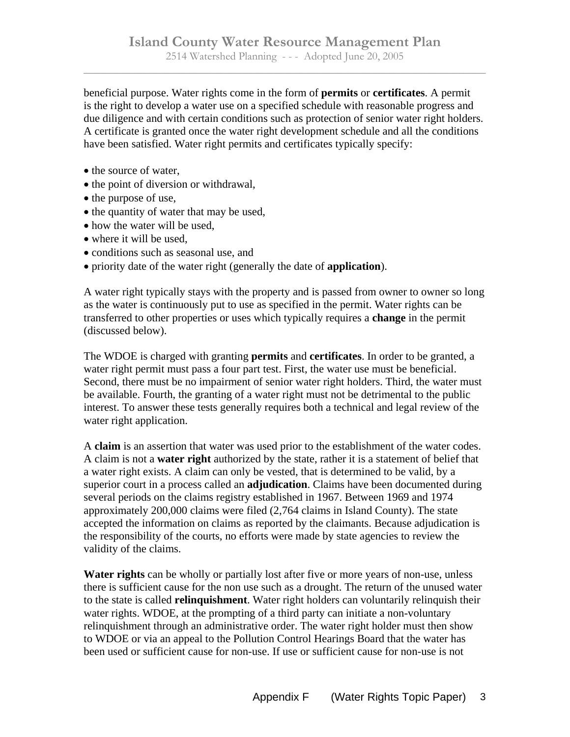beneficial purpose. Water rights come in the form of **permits** or **certificates**. A permit is the right to develop a water use on a specified schedule with reasonable progress and due diligence and with certain conditions such as protection of senior water right holders. A certificate is granted once the water right development schedule and all the conditions have been satisfied. Water right permits and certificates typically specify:

- the source of water,
- the point of diversion or withdrawal,
- the purpose of use,
- the quantity of water that may be used,
- how the water will be used,
- where it will be used.
- conditions such as seasonal use, and
- priority date of the water right (generally the date of **application**).

A water right typically stays with the property and is passed from owner to owner so long as the water is continuously put to use as specified in the permit. Water rights can be transferred to other properties or uses which typically requires a **change** in the permit (discussed below).

The WDOE is charged with granting **permits** and **certificates**. In order to be granted, a water right permit must pass a four part test. First, the water use must be beneficial. Second, there must be no impairment of senior water right holders. Third, the water must be available. Fourth, the granting of a water right must not be detrimental to the public interest. To answer these tests generally requires both a technical and legal review of the water right application.

A **claim** is an assertion that water was used prior to the establishment of the water codes. A claim is not a **water right** authorized by the state, rather it is a statement of belief that a water right exists. A claim can only be vested, that is determined to be valid, by a superior court in a process called an **adjudication**. Claims have been documented during several periods on the claims registry established in 1967. Between 1969 and 1974 approximately 200,000 claims were filed (2,764 claims in Island County). The state accepted the information on claims as reported by the claimants. Because adjudication is the responsibility of the courts, no efforts were made by state agencies to review the validity of the claims.

**Water rights** can be wholly or partially lost after five or more years of non-use, unless there is sufficient cause for the non use such as a drought. The return of the unused water to the state is called **relinquishment**. Water right holders can voluntarily relinquish their water rights. WDOE, at the prompting of a third party can initiate a non-voluntary relinquishment through an administrative order. The water right holder must then show to WDOE or via an appeal to the Pollution Control Hearings Board that the water has been used or sufficient cause for non-use. If use or sufficient cause for non-use is not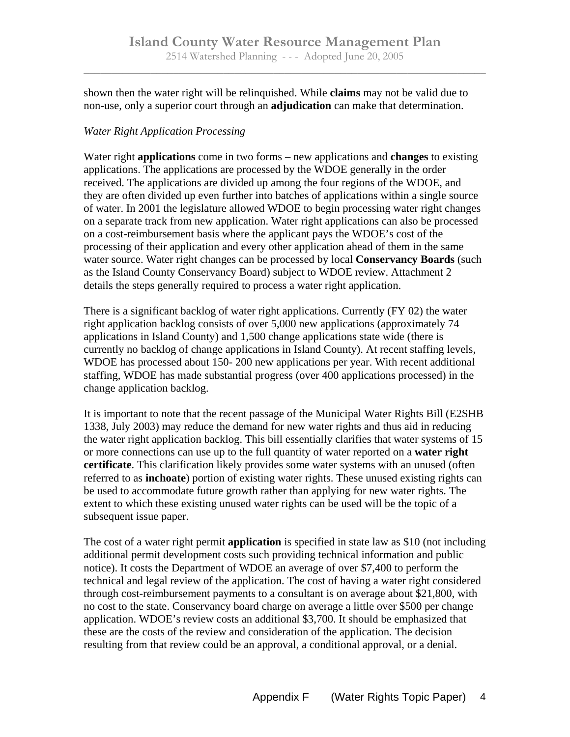shown then the water right will be relinquished. While **claims** may not be valid due to non-use, only a superior court through an **adjudication** can make that determination.

## *Water Right Application Processing*

Water right **applications** come in two forms – new applications and **changes** to existing applications. The applications are processed by the WDOE generally in the order received. The applications are divided up among the four regions of the WDOE, and they are often divided up even further into batches of applications within a single source of water. In 2001 the legislature allowed WDOE to begin processing water right changes on a separate track from new application. Water right applications can also be processed on a cost-reimbursement basis where the applicant pays the WDOE's cost of the processing of their application and every other application ahead of them in the same water source. Water right changes can be processed by local **Conservancy Boards** (such as the Island County Conservancy Board) subject to WDOE review. Attachment 2 details the steps generally required to process a water right application.

There is a significant backlog of water right applications. Currently (FY 02) the water right application backlog consists of over 5,000 new applications (approximately 74 applications in Island County) and 1,500 change applications state wide (there is currently no backlog of change applications in Island County). At recent staffing levels, WDOE has processed about 150- 200 new applications per year. With recent additional staffing, WDOE has made substantial progress (over 400 applications processed) in the change application backlog.

It is important to note that the recent passage of the Municipal Water Rights Bill (E2SHB 1338, July 2003) may reduce the demand for new water rights and thus aid in reducing the water right application backlog. This bill essentially clarifies that water systems of 15 or more connections can use up to the full quantity of water reported on a **water right certificate**. This clarification likely provides some water systems with an unused (often referred to as **inchoate**) portion of existing water rights. These unused existing rights can be used to accommodate future growth rather than applying for new water rights. The extent to which these existing unused water rights can be used will be the topic of a subsequent issue paper.

The cost of a water right permit **application** is specified in state law as \$10 (not including additional permit development costs such providing technical information and public notice). It costs the Department of WDOE an average of over \$7,400 to perform the technical and legal review of the application. The cost of having a water right considered through cost-reimbursement payments to a consultant is on average about \$21,800, with no cost to the state. Conservancy board charge on average a little over \$500 per change application. WDOE's review costs an additional \$3,700. It should be emphasized that these are the costs of the review and consideration of the application. The decision resulting from that review could be an approval, a conditional approval, or a denial.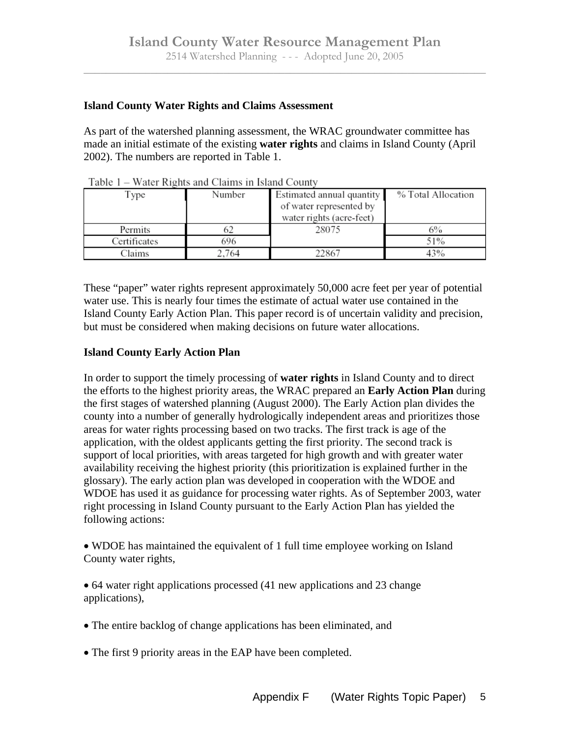#### **Island County Water Rights and Claims Assessment**

As part of the watershed planning assessment, the WRAC groundwater committee has made an initial estimate of the existing **water rights** and claims in Island County (April 2002). The numbers are reported in Table 1.

| Type         | Number | Estimated annual quantity | % Total Allocation |
|--------------|--------|---------------------------|--------------------|
|              |        | of water represented by   |                    |
|              |        | water rights (acre-feet)  |                    |
| Permits      |        | 28075                     | 6%                 |
| Certificates | 696    |                           | 51%                |
| Claims       | 2.764  | 22867                     | 43%                |

Table 1 – Water Rights and Claims in Island County

These "paper" water rights represent approximately 50,000 acre feet per year of potential water use. This is nearly four times the estimate of actual water use contained in the Island County Early Action Plan. This paper record is of uncertain validity and precision, but must be considered when making decisions on future water allocations.

#### **Island County Early Action Plan**

In order to support the timely processing of **water rights** in Island County and to direct the efforts to the highest priority areas, the WRAC prepared an **Early Action Plan** during the first stages of watershed planning (August 2000). The Early Action plan divides the county into a number of generally hydrologically independent areas and prioritizes those areas for water rights processing based on two tracks. The first track is age of the application, with the oldest applicants getting the first priority. The second track is support of local priorities, with areas targeted for high growth and with greater water availability receiving the highest priority (this prioritization is explained further in the glossary). The early action plan was developed in cooperation with the WDOE and WDOE has used it as guidance for processing water rights. As of September 2003, water right processing in Island County pursuant to the Early Action Plan has yielded the following actions:

WDOE has maintained the equivalent of 1 full time employee working on Island County water rights,

64 water right applications processed (41 new applications and 23 change applications),

- The entire backlog of change applications has been eliminated, and
- The first 9 priority areas in the EAP have been completed.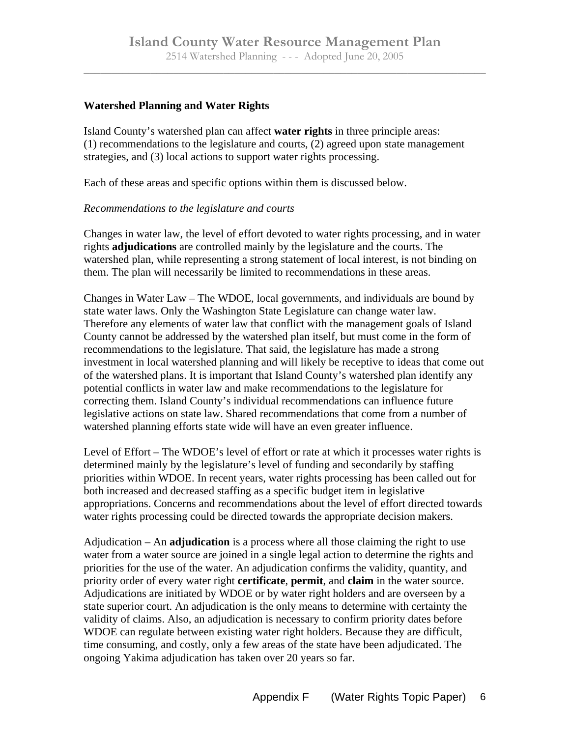#### **Watershed Planning and Water Rights**

Island County's watershed plan can affect **water rights** in three principle areas: (1) recommendations to the legislature and courts, (2) agreed upon state management strategies, and (3) local actions to support water rights processing.

Each of these areas and specific options within them is discussed below.

#### *Recommendations to the legislature and courts*

Changes in water law, the level of effort devoted to water rights processing, and in water rights **adjudications** are controlled mainly by the legislature and the courts. The watershed plan, while representing a strong statement of local interest, is not binding on them. The plan will necessarily be limited to recommendations in these areas.

Changes in Water Law – The WDOE, local governments, and individuals are bound by state water laws. Only the Washington State Legislature can change water law. Therefore any elements of water law that conflict with the management goals of Island County cannot be addressed by the watershed plan itself, but must come in the form of recommendations to the legislature. That said, the legislature has made a strong investment in local watershed planning and will likely be receptive to ideas that come out of the watershed plans. It is important that Island County's watershed plan identify any potential conflicts in water law and make recommendations to the legislature for correcting them. Island County's individual recommendations can influence future legislative actions on state law. Shared recommendations that come from a number of watershed planning efforts state wide will have an even greater influence.

Level of Effort *–* The WDOE's level of effort or rate at which it processes water rights is determined mainly by the legislature's level of funding and secondarily by staffing priorities within WDOE. In recent years, water rights processing has been called out for both increased and decreased staffing as a specific budget item in legislative appropriations. Concerns and recommendations about the level of effort directed towards water rights processing could be directed towards the appropriate decision makers.

Adjudication – An **adjudication** is a process where all those claiming the right to use water from a water source are joined in a single legal action to determine the rights and priorities for the use of the water. An adjudication confirms the validity, quantity, and priority order of every water right **certificate**, **permit**, and **claim** in the water source. Adjudications are initiated by WDOE or by water right holders and are overseen by a state superior court. An adjudication is the only means to determine with certainty the validity of claims. Also, an adjudication is necessary to confirm priority dates before WDOE can regulate between existing water right holders. Because they are difficult, time consuming, and costly, only a few areas of the state have been adjudicated. The ongoing Yakima adjudication has taken over 20 years so far.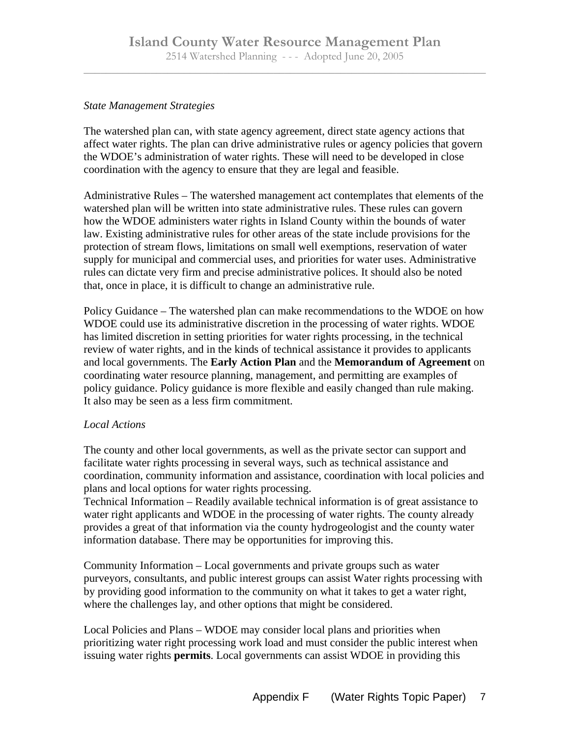#### *State Management Strategies*

The watershed plan can, with state agency agreement, direct state agency actions that affect water rights. The plan can drive administrative rules or agency policies that govern the WDOE's administration of water rights. These will need to be developed in close coordination with the agency to ensure that they are legal and feasible.

Administrative Rules – The watershed management act contemplates that elements of the watershed plan will be written into state administrative rules. These rules can govern how the WDOE administers water rights in Island County within the bounds of water law. Existing administrative rules for other areas of the state include provisions for the protection of stream flows, limitations on small well exemptions, reservation of water supply for municipal and commercial uses, and priorities for water uses. Administrative rules can dictate very firm and precise administrative polices. It should also be noted that, once in place, it is difficult to change an administrative rule.

Policy Guidance – The watershed plan can make recommendations to the WDOE on how WDOE could use its administrative discretion in the processing of water rights. WDOE has limited discretion in setting priorities for water rights processing, in the technical review of water rights, and in the kinds of technical assistance it provides to applicants and local governments. The **Early Action Plan** and the **Memorandum of Agreement** on coordinating water resource planning, management, and permitting are examples of policy guidance. Policy guidance is more flexible and easily changed than rule making. It also may be seen as a less firm commitment.

## *Local Actions*

The county and other local governments, as well as the private sector can support and facilitate water rights processing in several ways, such as technical assistance and coordination, community information and assistance, coordination with local policies and plans and local options for water rights processing.

Technical Information – Readily available technical information is of great assistance to water right applicants and WDOE in the processing of water rights. The county already provides a great of that information via the county hydrogeologist and the county water information database. There may be opportunities for improving this.

Community Information – Local governments and private groups such as water purveyors, consultants, and public interest groups can assist Water rights processing with by providing good information to the community on what it takes to get a water right, where the challenges lay, and other options that might be considered.

Local Policies and Plans – WDOE may consider local plans and priorities when prioritizing water right processing work load and must consider the public interest when issuing water rights **permits**. Local governments can assist WDOE in providing this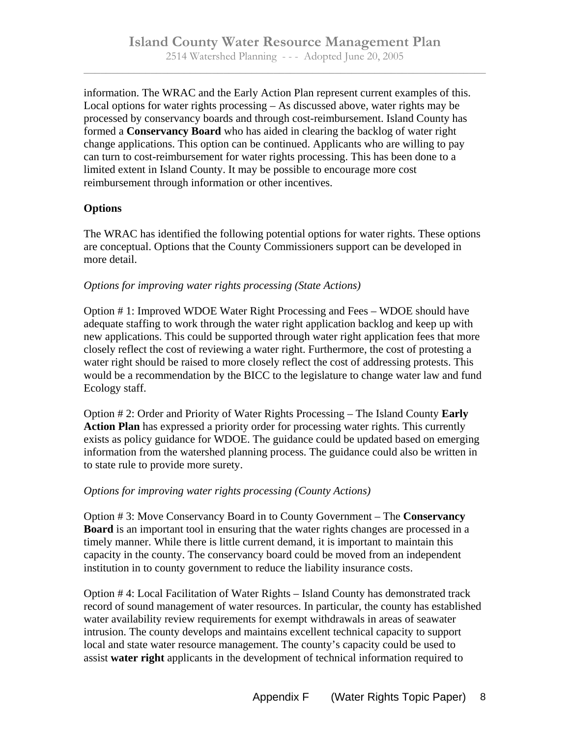information. The WRAC and the Early Action Plan represent current examples of this. Local options for water rights processing – As discussed above, water rights may be processed by conservancy boards and through cost-reimbursement. Island County has formed a **Conservancy Board** who has aided in clearing the backlog of water right change applications. This option can be continued. Applicants who are willing to pay can turn to cost-reimbursement for water rights processing. This has been done to a limited extent in Island County. It may be possible to encourage more cost reimbursement through information or other incentives.

## **Options**

The WRAC has identified the following potential options for water rights. These options are conceptual. Options that the County Commissioners support can be developed in more detail.

## *Options for improving water rights processing (State Actions)*

Option # 1: Improved WDOE Water Right Processing and Fees – WDOE should have adequate staffing to work through the water right application backlog and keep up with new applications. This could be supported through water right application fees that more closely reflect the cost of reviewing a water right. Furthermore, the cost of protesting a water right should be raised to more closely reflect the cost of addressing protests. This would be a recommendation by the BICC to the legislature to change water law and fund Ecology staff.

Option # 2: Order and Priority of Water Rights Processing – The Island County **Early Action Plan** has expressed a priority order for processing water rights. This currently exists as policy guidance for WDOE. The guidance could be updated based on emerging information from the watershed planning process. The guidance could also be written in to state rule to provide more surety.

## *Options for improving water rights processing (County Actions)*

Option # 3: Move Conservancy Board in to County Government – The **Conservancy Board** is an important tool in ensuring that the water rights changes are processed in a timely manner. While there is little current demand, it is important to maintain this capacity in the county. The conservancy board could be moved from an independent institution in to county government to reduce the liability insurance costs.

Option # 4: Local Facilitation of Water Rights – Island County has demonstrated track record of sound management of water resources. In particular, the county has established water availability review requirements for exempt withdrawals in areas of seawater intrusion. The county develops and maintains excellent technical capacity to support local and state water resource management. The county's capacity could be used to assist **water right** applicants in the development of technical information required to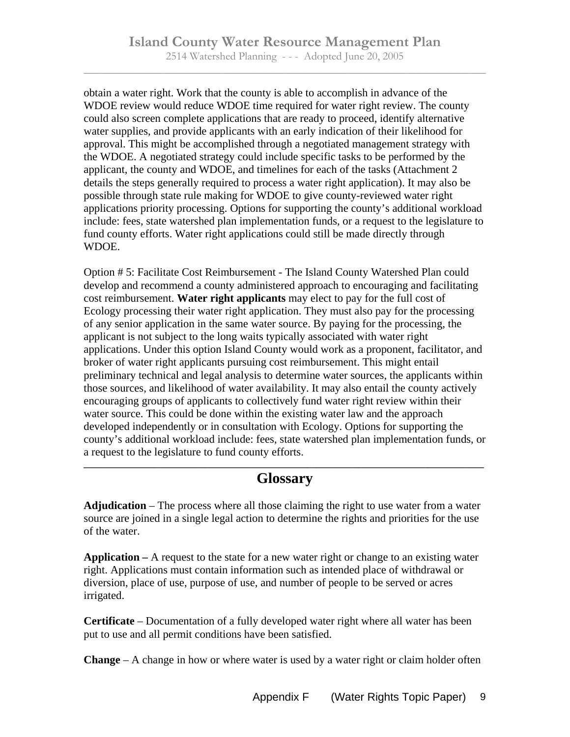obtain a water right. Work that the county is able to accomplish in advance of the WDOE review would reduce WDOE time required for water right review. The county could also screen complete applications that are ready to proceed, identify alternative water supplies, and provide applicants with an early indication of their likelihood for approval. This might be accomplished through a negotiated management strategy with the WDOE. A negotiated strategy could include specific tasks to be performed by the applicant, the county and WDOE, and timelines for each of the tasks (Attachment 2 details the steps generally required to process a water right application). It may also be possible through state rule making for WDOE to give county-reviewed water right applications priority processing. Options for supporting the county's additional workload include: fees, state watershed plan implementation funds, or a request to the legislature to fund county efforts. Water right applications could still be made directly through WDOE.

Option # 5: Facilitate Cost Reimbursement - The Island County Watershed Plan could develop and recommend a county administered approach to encouraging and facilitating cost reimbursement. **Water right applicants** may elect to pay for the full cost of Ecology processing their water right application. They must also pay for the processing of any senior application in the same water source. By paying for the processing, the applicant is not subject to the long waits typically associated with water right applications. Under this option Island County would work as a proponent, facilitator, and broker of water right applicants pursuing cost reimbursement. This might entail preliminary technical and legal analysis to determine water sources, the applicants within those sources, and likelihood of water availability. It may also entail the county actively encouraging groups of applicants to collectively fund water right review within their water source. This could be done within the existing water law and the approach developed independently or in consultation with Ecology. Options for supporting the county's additional workload include: fees, state watershed plan implementation funds, or a request to the legislature to fund county efforts.

## **\_\_\_\_\_\_\_\_\_\_\_\_\_\_\_\_\_\_\_\_\_\_\_\_\_\_\_\_\_\_\_\_\_\_\_\_\_\_\_\_\_\_\_\_\_\_\_\_\_\_\_\_\_\_\_\_\_\_\_\_\_\_\_\_\_\_\_\_\_\_\_\_\_\_\_\_\_\_\_\_\_\_\_\_\_\_ Glossary**

**Adjudication** – The process where all those claiming the right to use water from a water source are joined in a single legal action to determine the rights and priorities for the use of the water.

**Application –** A request to the state for a new water right or change to an existing water right. Applications must contain information such as intended place of withdrawal or diversion, place of use, purpose of use, and number of people to be served or acres irrigated.

**Certificate** – Documentation of a fully developed water right where all water has been put to use and all permit conditions have been satisfied.

**Change** – A change in how or where water is used by a water right or claim holder often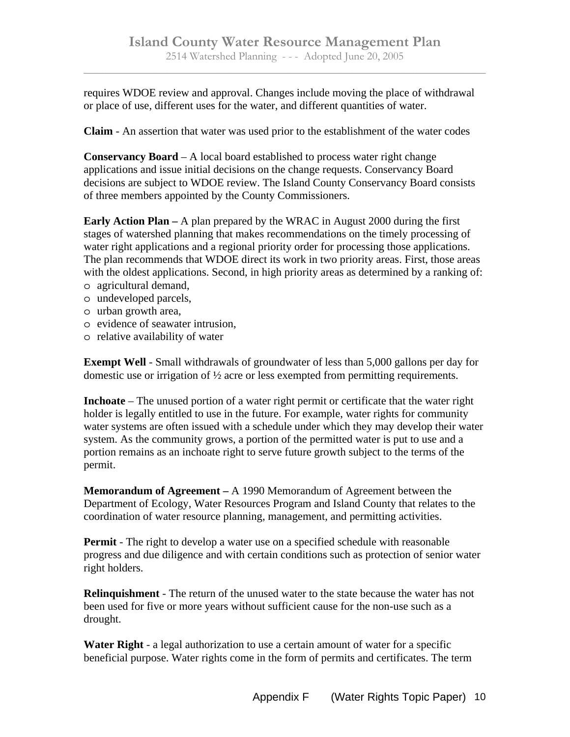requires WDOE review and approval. Changes include moving the place of withdrawal or place of use, different uses for the water, and different quantities of water.

**Claim** - An assertion that water was used prior to the establishment of the water codes

**Conservancy Board** – A local board established to process water right change applications and issue initial decisions on the change requests. Conservancy Board decisions are subject to WDOE review. The Island County Conservancy Board consists of three members appointed by the County Commissioners.

**Early Action Plan –** A plan prepared by the WRAC in August 2000 during the first stages of watershed planning that makes recommendations on the timely processing of water right applications and a regional priority order for processing those applications. The plan recommends that WDOE direct its work in two priority areas. First, those areas with the oldest applications. Second, in high priority areas as determined by a ranking of: o agricultural demand,

- o undeveloped parcels,
- o urban growth area,
- o evidence of seawater intrusion,
- o relative availability of water

**Exempt Well** - Small withdrawals of groundwater of less than 5,000 gallons per day for domestic use or irrigation of ½ acre or less exempted from permitting requirements.

**Inchoate** – The unused portion of a water right permit or certificate that the water right holder is legally entitled to use in the future. For example, water rights for community water systems are often issued with a schedule under which they may develop their water system. As the community grows, a portion of the permitted water is put to use and a portion remains as an inchoate right to serve future growth subject to the terms of the permit.

**Memorandum of Agreement –** A 1990 Memorandum of Agreement between the Department of Ecology, Water Resources Program and Island County that relates to the coordination of water resource planning, management, and permitting activities.

**Permit** - The right to develop a water use on a specified schedule with reasonable progress and due diligence and with certain conditions such as protection of senior water right holders.

**Relinquishment** - The return of the unused water to the state because the water has not been used for five or more years without sufficient cause for the non-use such as a drought.

**Water Right** - a legal authorization to use a certain amount of water for a specific beneficial purpose. Water rights come in the form of permits and certificates. The term